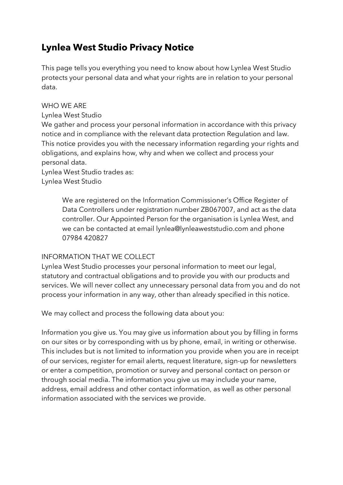# **Lynlea West Studio Privacy Notice**

This page tells you everything you need to know about how Lynlea West Studio protects your personal data and what your rights are in relation to your personal data.

### WHO WE ARE

Lynlea West Studio

We gather and process your personal information in accordance with this privacy notice and in compliance with the relevant data protection Regulation and law. This notice provides you with the necessary information regarding your rights and obligations, and explains how, why and when we collect and process your personal data.

Lynlea West Studio trades as: Lynlea West Studio

> We are registered on the Information Commissioner's Office Register of Data Controllers under registration number ZB067007, and act as the data controller. Our Appointed Person for the organisation is Lynlea West, and we can be contacted at email lynlea@lynleaweststudio.com and phone 07984 420827

## INFORMATION THAT WE COLLECT

Lynlea West Studio processes your personal information to meet our legal, statutory and contractual obligations and to provide you with our products and services. We will never collect any unnecessary personal data from you and do not process your information in any way, other than already specified in this notice.

We may collect and process the following data about you:

Information you give us. You may give us information about you by filling in forms on our sites or by corresponding with us by phone, email, in writing or otherwise. This includes but is not limited to information you provide when you are in receipt of our services, register for email alerts, request literature, sign-up for newsletters or enter a competition, promotion or survey and personal contact on person or through social media. The information you give us may include your name, address, email address and other contact information, as well as other personal information associated with the services we provide.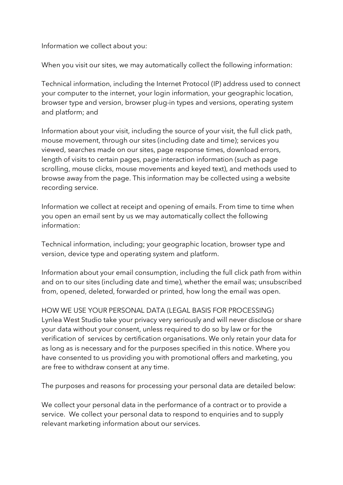Information we collect about you:

When you visit our sites, we may automatically collect the following information:

Technical information, including the Internet Protocol (IP) address used to connect your computer to the internet, your login information, your geographic location, browser type and version, browser plug-in types and versions, operating system and platform; and

Information about your visit, including the source of your visit, the full click path, mouse movement, through our sites (including date and time); services you viewed, searches made on our sites, page response times, download errors, length of visits to certain pages, page interaction information (such as page scrolling, mouse clicks, mouse movements and keyed text), and methods used to browse away from the page. This information may be collected using a website recording service.

Information we collect at receipt and opening of emails. From time to time when you open an email sent by us we may automatically collect the following information:

Technical information, including; your geographic location, browser type and version, device type and operating system and platform.

Information about your email consumption, including the full click path from within and on to our sites (including date and time), whether the email was; unsubscribed from, opened, deleted, forwarded or printed, how long the email was open.

HOW WE USE YOUR PERSONAL DATA (LEGAL BASIS FOR PROCESSING) Lynlea West Studio take your privacy very seriously and will never disclose or share your data without your consent, unless required to do so by law or for the verification of services by certification organisations. We only retain your data for as long as is necessary and for the purposes specified in this notice. Where you have consented to us providing you with promotional offers and marketing, you are free to withdraw consent at any time.

The purposes and reasons for processing your personal data are detailed below:

We collect your personal data in the performance of a contract or to provide a service. We collect your personal data to respond to enquiries and to supply relevant marketing information about our services.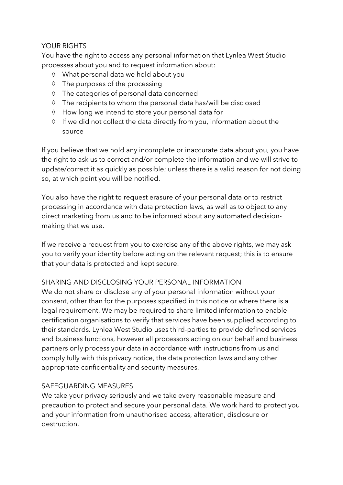## YOUR RIGHTS

You have the right to access any personal information that Lynlea West Studio processes about you and to request information about:

- à What personal data we hold about you
- à The purposes of the processing
- à The categories of personal data concerned
- à The recipients to whom the personal data has/will be disclosed
- à How long we intend to store your personal data for
- à If we did not collect the data directly from you, information about the source

If you believe that we hold any incomplete or inaccurate data about you, you have the right to ask us to correct and/or complete the information and we will strive to update/correct it as quickly as possible; unless there is a valid reason for not doing so, at which point you will be notified.

You also have the right to request erasure of your personal data or to restrict processing in accordance with data protection laws, as well as to object to any direct marketing from us and to be informed about any automated decisionmaking that we use.

If we receive a request from you to exercise any of the above rights, we may ask you to verify your identity before acting on the relevant request; this is to ensure that your data is protected and kept secure.

#### SHARING AND DISCLOSING YOUR PERSONAL INFORMATION

We do not share or disclose any of your personal information without your consent, other than for the purposes specified in this notice or where there is a legal requirement. We may be required to share limited information to enable certification organisations to verify that services have been supplied according to their standards. Lynlea West Studio uses third-parties to provide defined services and business functions, however all processors acting on our behalf and business partners only process your data in accordance with instructions from us and comply fully with this privacy notice, the data protection laws and any other appropriate confidentiality and security measures.

#### SAFEGUARDING MEASURES

We take your privacy seriously and we take every reasonable measure and precaution to protect and secure your personal data. We work hard to protect you and your information from unauthorised access, alteration, disclosure or destruction.